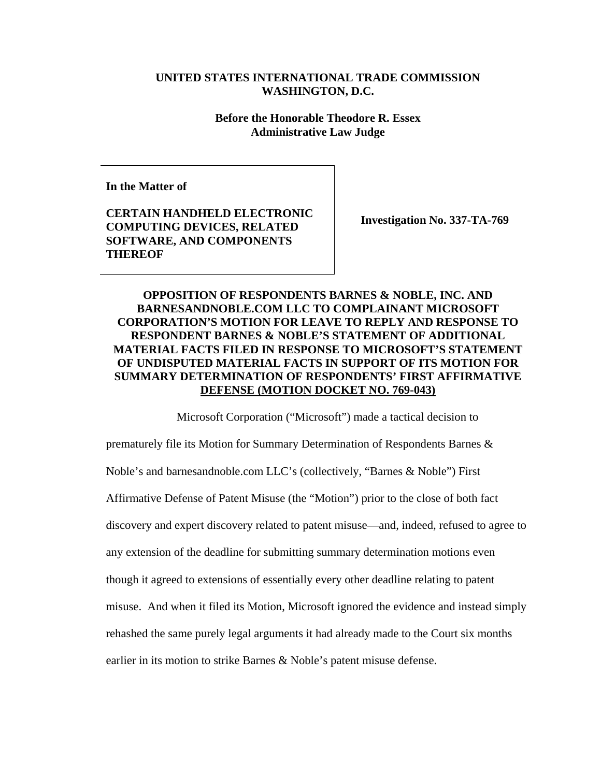## **UNITED STATES INTERNATIONAL TRADE COMMISSION WASHINGTON, D.C.**

## **Before the Honorable Theodore R. Essex Administrative Law Judge**

**In the Matter of** 

**CERTAIN HANDHELD ELECTRONIC COMPUTING DEVICES, RELATED SOFTWARE, AND COMPONENTS THEREOF** 

**Investigation No. 337-TA-769** 

## **OPPOSITION OF RESPONDENTS BARNES & NOBLE, INC. AND BARNESANDNOBLE.COM LLC TO COMPLAINANT MICROSOFT CORPORATION'S MOTION FOR LEAVE TO REPLY AND RESPONSE TO RESPONDENT BARNES & NOBLE'S STATEMENT OF ADDITIONAL MATERIAL FACTS FILED IN RESPONSE TO MICROSOFT'S STATEMENT OF UNDISPUTED MATERIAL FACTS IN SUPPORT OF ITS MOTION FOR SUMMARY DETERMINATION OF RESPONDENTS' FIRST AFFIRMATIVE DEFENSE (MOTION DOCKET NO. 769-043)**

Microsoft Corporation ("Microsoft") made a tactical decision to

prematurely file its Motion for Summary Determination of Respondents Barnes & Noble's and barnesandnoble.com LLC's (collectively, "Barnes & Noble") First Affirmative Defense of Patent Misuse (the "Motion") prior to the close of both fact discovery and expert discovery related to patent misuse—and, indeed, refused to agree to any extension of the deadline for submitting summary determination motions even though it agreed to extensions of essentially every other deadline relating to patent misuse. And when it filed its Motion, Microsoft ignored the evidence and instead simply rehashed the same purely legal arguments it had already made to the Court six months earlier in its motion to strike Barnes & Noble's patent misuse defense.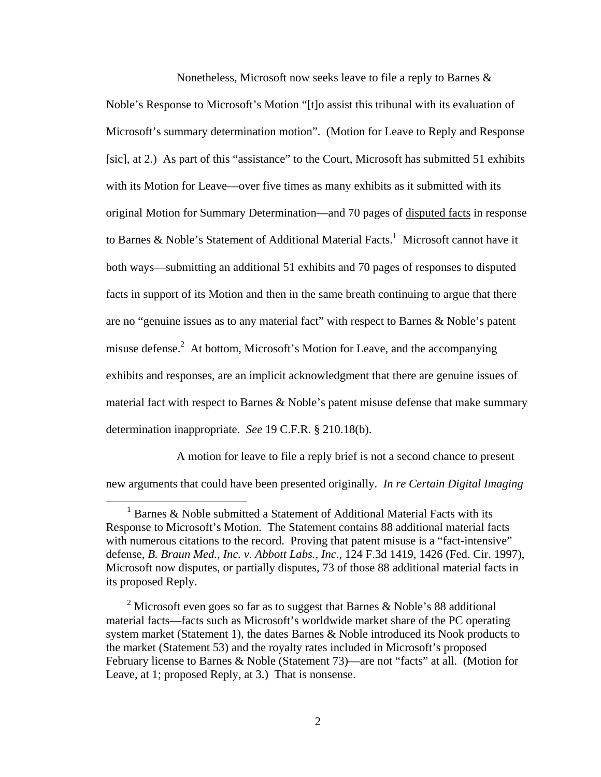Nonetheless, Microsoft now seeks leave to file a reply to Barnes &

Noble's Response to Microsoft's Motion "[t]o assist this tribunal with its evaluation of Microsoft's summary determination motion". (Motion for Leave to Reply and Response [sic], at 2.) As part of this "assistance" to the Court, Microsoft has submitted 51 exhibits with its Motion for Leave—over five times as many exhibits as it submitted with its original Motion for Summary Determination—and 70 pages of disputed facts in response to Barnes & Noble's Statement of Additional Material Facts.<sup>1</sup> Microsoft cannot have it both ways—submitting an additional 51 exhibits and 70 pages of responses to disputed facts in support of its Motion and then in the same breath continuing to argue that there are no "genuine issues as to any material fact" with respect to Barnes & Noble's patent misuse defense.<sup>2</sup> At bottom, Microsoft's Motion for Leave, and the accompanying exhibits and responses, are an implicit acknowledgment that there are genuine issues of material fact with respect to Barnes & Noble's patent misuse defense that make summary determination inappropriate. *See* 19 C.F.R. § 210.18(b).

A motion for leave to file a reply brief is not a second chance to present new arguments that could have been presented originally. *In re Certain Digital Imaging* 

 <sup>1</sup>  $1$  Barnes & Noble submitted a Statement of Additional Material Facts with its Response to Microsoft's Motion. The Statement contains 88 additional material facts with numerous citations to the record. Proving that patent misuse is a "fact-intensive" defense, *B. Braun Med., Inc. v. Abbott Labs., Inc.*, 124 F.3d 1419, 1426 (Fed. Cir. 1997), Microsoft now disputes, or partially disputes, 73 of those 88 additional material facts in its proposed Reply.

<sup>&</sup>lt;sup>2</sup> Microsoft even goes so far as to suggest that Barnes & Noble's 88 additional material facts—facts such as Microsoft's worldwide market share of the PC operating system market (Statement 1), the dates Barnes & Noble introduced its Nook products to the market (Statement 53) and the royalty rates included in Microsoft's proposed February license to Barnes & Noble (Statement 73)—are not "facts" at all. (Motion for Leave, at 1; proposed Reply, at 3.) That is nonsense.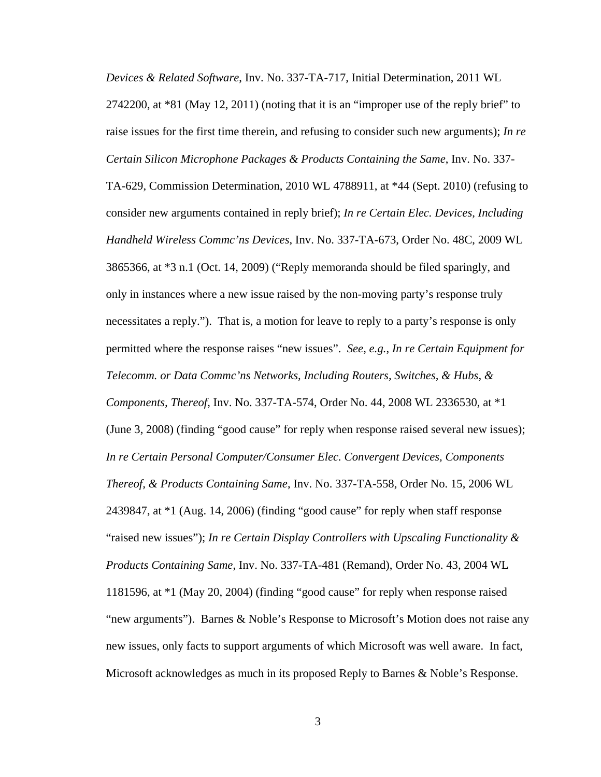*Devices & Related Software*, Inv. No. 337-TA-717, Initial Determination, 2011 WL  $2742200$ , at  $*81$  (May 12, 2011) (noting that it is an "improper use of the reply brief" to raise issues for the first time therein, and refusing to consider such new arguments); *In re Certain Silicon Microphone Packages & Products Containing the Same*, Inv. No. 337-

TA-629, Commission Determination, 2010 WL 4788911, at \*44 (Sept. 2010) (refusing to consider new arguments contained in reply brief); *In re Certain Elec. Devices, Including Handheld Wireless Commc'ns Devices*, Inv. No. 337-TA-673, Order No. 48C, 2009 WL 3865366, at \*3 n.1 (Oct. 14, 2009) ("Reply memoranda should be filed sparingly, and only in instances where a new issue raised by the non-moving party's response truly necessitates a reply."). That is, a motion for leave to reply to a party's response is only permitted where the response raises "new issues". *See, e.g.*, *In re Certain Equipment for Telecomm. or Data Commc'ns Networks, Including Routers, Switches, & Hubs, & Components, Thereof*, Inv. No. 337-TA-574, Order No. 44, 2008 WL 2336530, at \*1 (June 3, 2008) (finding "good cause" for reply when response raised several new issues); *In re Certain Personal Computer/Consumer Elec. Convergent Devices, Components Thereof, & Products Containing Same*, Inv. No. 337-TA-558, Order No. 15, 2006 WL 2439847, at \*1 (Aug. 14, 2006) (finding "good cause" for reply when staff response "raised new issues"); *In re Certain Display Controllers with Upscaling Functionality & Products Containing Same*, Inv. No. 337-TA-481 (Remand), Order No. 43, 2004 WL 1181596, at \*1 (May 20, 2004) (finding "good cause" for reply when response raised "new arguments"). Barnes & Noble's Response to Microsoft's Motion does not raise any new issues, only facts to support arguments of which Microsoft was well aware. In fact, Microsoft acknowledges as much in its proposed Reply to Barnes & Noble's Response.

3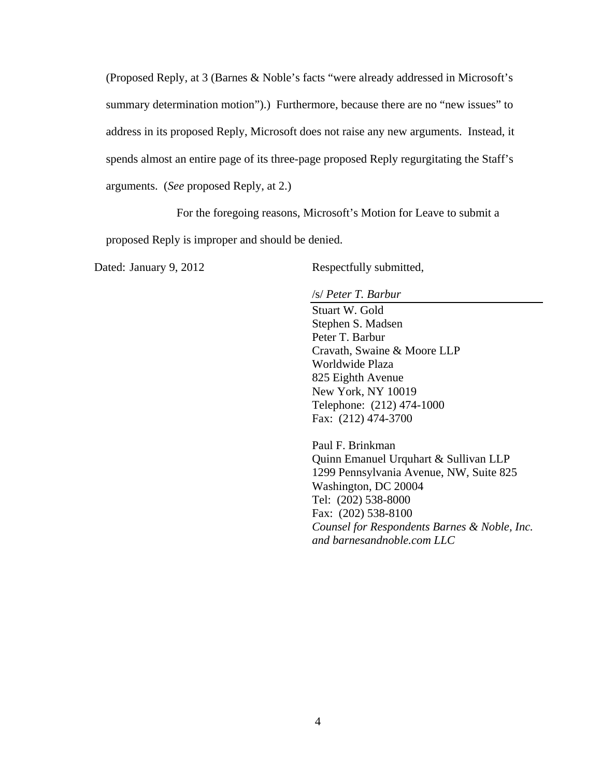(Proposed Reply, at 3 (Barnes & Noble's facts "were already addressed in Microsoft's summary determination motion").) Furthermore, because there are no "new issues" to address in its proposed Reply, Microsoft does not raise any new arguments. Instead, it spends almost an entire page of its three-page proposed Reply regurgitating the Staff's arguments. (*See* proposed Reply, at 2.)

For the foregoing reasons, Microsoft's Motion for Leave to submit a

proposed Reply is improper and should be denied.

Dated: January 9, 2012 Respectfully submitted,

/s/ *Peter T. Barbur*

Stuart W. Gold Stephen S. Madsen Peter T. Barbur Cravath, Swaine & Moore LLP Worldwide Plaza 825 Eighth Avenue New York, NY 10019 Telephone: (212) 474-1000 Fax: (212) 474-3700

Paul F. Brinkman Quinn Emanuel Urquhart & Sullivan LLP 1299 Pennsylvania Avenue, NW, Suite 825 Washington, DC 20004 Tel: (202) 538-8000 Fax: (202) 538-8100 *Counsel for Respondents Barnes & Noble, Inc. and barnesandnoble.com LLC*